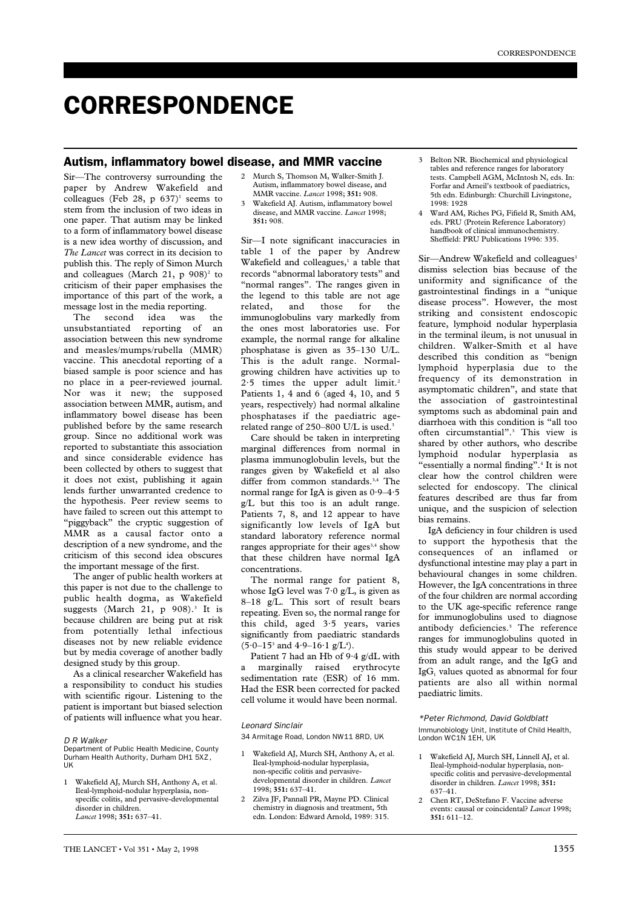# **CORRESPONDENCE**

### Autism, inflammatory bowel disease, and MMR vaccine

Sir—The controversy surrounding the paper by Andrew Wakefield and colleagues (Feb 28,  $p \ 637$ )<sup>1</sup> seems to stem from the inclusion of two ideas in one paper. That autism may be linked to a form of inflammatory bowel disease is a new idea worthy of discussion, and *The Lancet* was correct in its decision to publish this. The reply of Simon Murch and colleagues (March 21,  $p \frac{908}{2}$  to criticism of their paper emphasises the importance of this part of the work, a message lost in the media reporting.

The second idea was the unsubstantiated reporting of an association between this new syndrome and measles/mumps/rubella (MMR) vaccine. This anecdotal reporting of a biased sample is poor science and has no place in a peer-reviewed journal. Nor was it new; the supposed association between MMR, autism, and inflammatory bowel disease has been published before by the same research group. Since no additional work was reported to substantiate this association and since considerable evidence has been collected by others to suggest that it does not exist, publishing it again lends further unwarranted credence to the hypothesis. Peer review seems to have failed to screen out this attempt to "piggyback" the cryptic suggestion of MMR as a causal factor onto a description of a new syndrome, and the criticism of this second idea obscures the important message of the first.

The anger of public health workers at this paper is not due to the challenge to public health dogma, as Wakefield suggests (March 21,  $p \frac{908}{3}$  It is because children are being put at risk from potentially lethal infectious diseases not by new reliable evidence but by media coverage of another badly designed study by this group.

As a clinical researcher Wakefield has a responsibility to conduct his studies with scientific rigour. Listening to the patient is important but biased selection of patients will influence what you hear.

- 2 Murch S, Thomson M, Walker-Smith J. Autism, inflammatory bowel disease, and MMR vaccine. *Lancet* 1998; **351:** 908.
- 3 Wakefield AJ. Autism, inflammatory bowel disease, and MMR vaccine. *Lancet* 1998; **351:** 908.

Sir—I note significant inaccuracies in table 1 of the paper by Andrew Wakefield and colleagues, $1$  a table that records "abnormal laboratory tests" and "normal ranges". The ranges given in the legend to this table are not age related, and those for the immunoglobulins vary markedly from the ones most laboratories use. For example, the normal range for alkaline phosphatase is given as 35–130 U/L. This is the adult range. Normalgrowing children have activities up to  $2.5$  times the upper adult limit.<sup>2</sup> Patients 1, 4 and 6 (aged 4, 10, and 5 years, respectively) had normal alkaline phosphatases if the paediatric agerelated range of 250–800 U/L is used.<sup>3</sup>

Care should be taken in interpreting marginal differences from normal in plasma immunoglobulin levels, but the ranges given by Wakefield et al also differ from common standards.<sup>3,4</sup> The normal range for IgA is given as 0·9–4·5 g/L but this too is an adult range. Patients 7, 8, and 12 appear to have significantly low levels of IgA but standard laboratory reference normal ranges appropriate for their ages<sup>3,4</sup> show that these children have normal IgA concentrations.

The normal range for patient 8, whose IgG level was 7·0 g/L, is given as 8–18 g/L. This sort of result bears repeating. Even so, the normal range for this child, aged 3·5 years, varies significantly from paediatric standards  $(5.0-15^3 \text{ and } 4.9-16.1 \text{ g/L}^4)$ .

Patient 7 had an Hb of 9·4 g/dL with a marginally raised erythrocyte sedimentation rate (ESR) of 16 mm. Had the ESR been corrected for packed cell volume it would have been normal.

#### Leonard Sinclair

34 Armitage Road, London NW11 8RD, UK

- 1 Wakefield AJ, Murch SH, Anthony A, et al. Ileal-lymphoid-nodular hyperplasia, non-specific colitis and pervasivedevelopmental disorder in children. *Lancet* 1998; **351:** 637–41.
- 2 Zilva IF, Pannall PR, Mayne PD. Clinical chemistry in diagnosis and treatment, 5th edn. London: Edward Arnold, 1989: 315.
- 3 Belton NR. Biochemical and physiological tables and reference ranges for laboratory tests. Campbell AGM, McIntosh N, eds. In: Forfar and Arneil's textbook of paediatrics, 5th edn. Edinburgh: Churchill Livingstone, 1998: 1928
- 4 Ward AM, Riches PG, Fifield R, Smith AM, eds. PRII (Protein Reference Laboratory) handbook of clinical immunochemistry. Sheffield: PRU Publications 1996: 335.

Sir-Andrew Wakefield and colleagues<sup>1</sup> dismiss selection bias because of the uniformity and significance of the gastrointestinal findings in a "unique disease process". However, the most striking and consistent endoscopic feature, lymphoid nodular hyperplasia in the terminal ileum, is not unusual in children. Walker-Smith et al have described this condition as "benign lymphoid hyperplasia due to the frequency of its demonstration in asymptomatic children", and state that the association of gastrointestinal symptoms such as abdominal pain and diarrhoea with this condition is "all too often circumstantial".3 This view is shared by other authors, who describe lymphoid nodular hyperplasia as "essentially a normal finding".4 It is not clear how the control children were selected for endoscopy. The clinical features described are thus far from unique, and the suspicion of selection bias remains.

IgA deficiency in four children is used to support the hypothesis that the consequences of an inflamed or dysfunctional intestine may play a part in behavioural changes in some children. However, the IgA concentrations in three of the four children are normal according to the UK age-specific reference range for immunoglobulins used to diagnose antibody deficiencies.<sup>5</sup> The reference ranges for immunoglobulins quoted in this study would appear to be derived from an adult range, and the IgG and IgG, values quoted as abnormal for four patients are also all within normal paediatric limits.

\*Peter Richmond, David Goldblatt

Immunobiology Unit, Institute of Child Health, London WC1N 1EH, UK

- Wakefield AJ, Murch SH, Linnell AJ, et al. Ileal-lymphoid-nodular hyperplasia, nonspecific colitis and pervasive-developmental disorder in children. *Lancet* 1998; **351:** 637–41.
- 2 Chen RT, DeStefano F. Vaccine adverse events: causal or coincidental? *Lancet* 1998; **351:** 611–12.

D R Walker

Department of Public Health Medicine, County Durham Health Authority, Durham DH1 5XZ, UK

<sup>1</sup> Wakefield AJ, Murch SH, Anthony A, et al. Ileal-lymphoid-nodular hyperplasia, nonspecific colitis, and pervasive-developmental disorder in children. *Lancet* 1998; **351:** 637–41.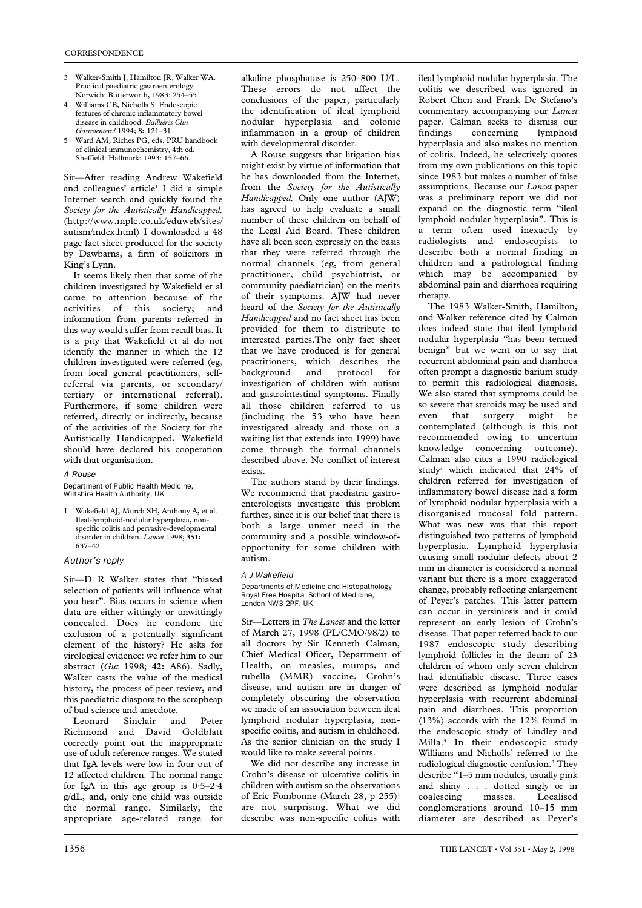- 3 Walker-Smith J, Hamilton JR, Walker WA. Practical paediatric gastroenterology. Norwich: Butterworth, 1983: 254–55
- 4 Williams CB, Nicholls S. Endoscopic features of chronic inflammatory bowel disease in childhood. *Baillièrés Clin Gastroenterol* 1994; **8:** 121–31
- 5 Ward AM, Riches PG, eds. PRU handbook of clinical immunochemistry, 4th ed. Sheffield: Hallmark: 1993: 157–66.

Sir—After reading Andrew Wakefield and colleagues' article<sup>1</sup> I did a simple Internet search and quickly found the *Society for the Autistically Handicapped.* (http://www.mplc.co.uk/eduweb/sites/ autism/index.html) I downloaded a 48 page fact sheet produced for the society by Dawbarns, a firm of solicitors in King's Lynn.

It seems likely then that some of the children investigated by Wakefield et al came to attention because of the activities of this society; and information from parents referred in this way would suffer from recall bias. It is a pity that Wakefield et al do not identify the manner in which the 12 children investigated were referred (eg, from local general practitioners, selfreferral via parents, or secondary/ tertiary or international referral). Furthermore, if some children were referred, directly or indirectly, because of the activities of the Society for the Autistically Handicapped, Wakefield should have declared his cooperation with that organisation.

### A Rouse

Department of Public Health Medicine Wiltshire Health Authority, UK

1 Wakefield AJ, Murch SH, Anthony A, et al. Ileal-lymphoid-nodular hyperplasia, nonspecific colitis and pervasive-developmental disorder in children. *Lancet* 1998; **351:** 637–42.

### Author's reply

Sir—D R Walker states that "biased selection of patients will influence what you hear". Bias occurs in science when data are either wittingly or unwittingly concealed. Does he condone the exclusion of a potentially significant element of the history? He asks for virological evidence: we refer him to our abstract (*Gut* 1998; **42:** A86). Sadly, Walker casts the value of the medical history, the process of peer review, and this paediatric diaspora to the scrapheap of bad science and anecdote.

Leonard Sinclair and Peter Richmond and David Goldblatt correctly point out the inappropriate use of adult reference ranges. We stated that IgA levels were low in four out of 12 affected children. The normal range for IgA in this age group is  $0.5-2.4$ g/dL, and, only one child was outside the normal range. Similarly, the appropriate age-related range for

alkaline phosphatase is 250–800 U/L. These errors do not affect the conclusions of the paper, particularly the identification of ileal lymphoid nodular hyperplasia and colonic inflammation in a group of children with developmental disorder.

A Rouse suggests that litigation bias might exist by virtue of information that he has downloaded from the Internet, from the *Society for the Autistically Handicapped.* Only one author (AJW) has agreed to help evaluate a small number of these children on behalf of the Legal Aid Board. These children have all been seen expressly on the basis that they were referred through the normal channels (eg, from general practitioner, child psychiatrist, or community paediatrician) on the merits of their symptoms. AJW had never heard of the *Society for the Autistically Handicapped* and no fact sheet has been provided for them to distribute to interested parties.The only fact sheet that we have produced is for general practitioners, which describes the background and protocol for investigation of children with autism and gastrointestinal symptoms. Finally all those children referred to us (including the 53 who have been investigated already and those on a waiting list that extends into 1999) have come through the formal channels described above. No conflict of interest exists.

The authors stand by their findings. We recommend that paediatric gastroenterologists investigate this problem further, since it is our belief that there is both a large unmet need in the community and a possible window-ofopportunity for some children with autism.

### A J Wakefield

Departments of Medicine and Histopathology Royal Free Hospital School of Medicine, London NW3 2PF, UK

Sir—Letters in *The Lancet* and the letter of March 27, 1998 (PL/CMO/98/2) to all doctors by Sir Kenneth Calman, Chief Medical Oficer, Department of Health, on measles, mumps, and rubella (MMR) vaccine, Crohn's disease, and autism are in danger of completely obscuring the observation we made of an association between ileal lymphoid nodular hyperplasia, nonspecific colitis, and autism in childhood. As the senior clinician on the study I would like to make several points.

We did not describe any increase in Crohn's disease or ulcerative colitis in children with autism so the observations of Eric Fombonne (March 28, p 255)<sup>1</sup> are not surprising. What we did describe was non-specific colitis with ileal lymphoid nodular hyperplasia. The colitis we described was ignored in Robert Chen and Frank De Stefano's commentary accompanying our *Lancet* paper. Calman seeks to dismiss our findings concerning lymphoid hyperplasia and also makes no mention of colitis. Indeed, he selectively quotes from my own publications on this topic since 1983 but makes a number of false assumptions. Because our *Lancet* paper was a preliminary report we did not expand on the diagnostic term "ileal lymphoid nodular hyperplasia". This is a term often used inexactly by radiologists and endoscopists to describe both a normal finding in children and a pathological finding which may be accompanied by abdominal pain and diarrhoea requiring therapy.

The 1983 Walker-Smith, Hamilton, and Walker reference cited by Calman does indeed state that ileal lymphoid nodular hyperplasia "has been termed benign" but we went on to say that recurrent abdominal pain and diarrhoea often prompt a diagnostic barium study to permit this radiological diagnosis. We also stated that symptoms could be so severe that steroids may be used and even that surgery might be contemplated (although is this not recommended owing to uncertain knowledge concerning outcome). Calman also cites a 1990 radiological study3 which indicated that 24% of children referred for investigation of inflammatory bowel disease had a form of lymphoid nodular hyperplasia with a disorganised mucosal fold pattern. What was new was that this report distinguished two patterns of lymphoid hyperplasia. Lymphoid hyperplasia causing small nodular defects about 2 mm in diameter is considered a normal variant but there is a more exaggerated change, probably reflecting enlargement of Peyer's patches. This latter pattern can occur in yersiniosis and it could represent an early lesion of Crohn's disease. That paper referred back to our 1987 endoscopic study describing lymphoid follicles in the ileum of 23 children of whom only seven children had identifiable disease. Three cases were described as lymphoid nodular hyperplasia with recurrent abdominal pain and diarrhoea. This proportion (13%) accords with the 12% found in the endoscopic study of Lindley and Milla.4 In their endoscopic study Williams and Nicholls<sup>5</sup> referred to the radiological diagnostic confusion.3 They describe "1–5 mm nodules, usually pink and shiny . . . dotted singly or in<br>coalescing masses. Localised coalescing masses. conglomerations around 10–15 mm diameter are described as Peyer's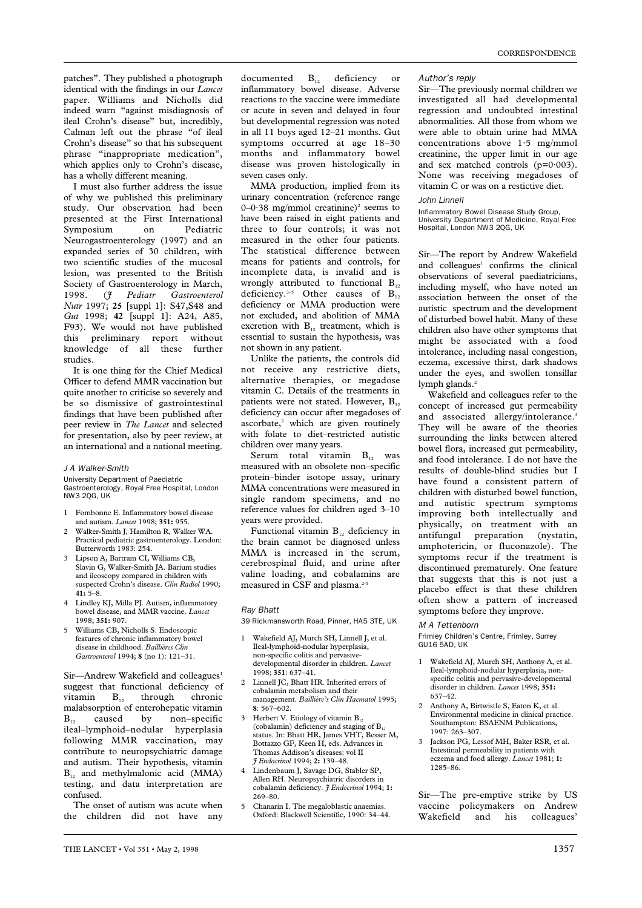patches". They published a photograph identical with the findings in our *Lancet* paper. Williams and Nicholls did indeed warn "against misdiagnosis of ileal Crohn's disease" but, incredibly, Calman left out the phrase "of ileal Crohn's disease" so that his subsequent phrase "inappropriate medication", which applies only to Crohn's disease, has a wholly different meaning.

I must also further address the issue of why we published this preliminary study. Our observation had been presented at the First International<br>Symposium on Pediatric Symposium on Neurogastroenterology (1997) and an expanded series of 30 children, with two scientific studies of the mucosal lesion, was presented to the British Society of Gastroenterology in March, 1998. (*J Pediatr Gastroenterol Nutr* 1997; **25** [suppl 1]: S47,S48 and *Gut* 1998; **42** [suppl 1]: A24, A85, F93). We would not have published this preliminary report without knowledge of all these further studies.

It is one thing for the Chief Medical Officer to defend MMR vaccination but quite another to criticise so severely and be so dismissive of gastrointestinal findings that have been published after peer review in *The Lancet* and selected for presentation, also by peer review, at an international and a national meeting.

#### J A Walker-Smith

University Department of Paediatric Gastroenterology, Royal Free Hospital, London NW3 2QG, UK

- 1 Fombonne E. Inflammatory bowel disease and autism. *Lancet* 1998; **351:** 955.
- 2 Walker-Smith J, Hamilton R, Walker WA. Practical pediatric gastroenterology. London: Butterworth 1983: 254.
- 3 Lipson A, Bartram CI, Williams CB, Slavin G, Walker-Smith JA. Barium studies and ileoscopy compared in children with suspected Crohn's disease. *Clin Radiol* 1990; **41:** 5–8.
- 4 Lindley KJ, Milla PJ. Autism, inflammatory bowel disease, and MMR vaccine. *Lancet* 1998; **351:** 907.
- Williams CB, Nicholls S. Endoscopic features of chronic inflammatory bowel disease in childhood. *Baillières Clin Gastroenterol* 1994; **8** (no 1): 121–31.

Sir-Andrew Wakefield and colleagues<sup>1</sup> suggest that functional deficiency of vitamin  $B_{12}$  through chronic malabsorption of enterohepatic vitamin  $B_{12}$  caused by non–specific ileal–lymphoid–nodular hyperplasia following MMR vaccination, may contribute to neuropsychiatric damage and autism. Their hypothesis, vitamin  $B_{12}$  and methylmalonic acid (MMA) testing, and data interpretation are confused.

The onset of autism was acute when the children did not have any

documented  $B_{12}$  deficiency or inflammatory bowel disease. Adverse reactions to the vaccine were immediate or acute in seven and delayed in four but developmental regression was noted in all 11 boys aged 12–21 months. Gut symptoms occurred at age 18–30 months and inflammatory bowel disease was proven histologically in seven cases only.

MMA production, implied from its urinary concentration (reference range 0–0·38 mg/mmol creatinine)<sup>2</sup> seems to have been raised in eight patients and three to four controls; it was not measured in the other four patients. The statistical difference between means for patients and controls, for incomplete data, is invalid and is wrongly attributed to functional  $B_{12}$ deficiency.<sup>3–5</sup> Other causes of  $B_{12}$ deficiency or MMA production were not excluded, and abolition of MMA excretion with  $B_{12}$  treatment, which is essential to sustain the hypothesis, was not shown in any patient.

Unlike the patients, the controls did not receive any restrictive diets, alternative therapies, or megadose vitamin C. Details of the treatments in patients were not stated. However,  $B_{12}$ deficiency can occur after megadoses of ascorbate,<sup>3</sup> which are given routinely with folate to diet–restricted autistic children over many years.

Serum total vitamin  $B_{12}$  was measured with an obsolete non–specific protein–binder isotope assay, urinary MMA concentrations were measured in single random specimens, and no reference values for children aged 3–10 years were provided.

Functional vitamin  $B_{12}$  deficiency in the brain cannot be diagnosed unless MMA is increased in the serum, cerebrospinal fluid, and urine after valine loading, and cobalamins are measured in CSF and plasma.<sup>2-5</sup>

#### Ray Bhatt

39 Rickmansworth Road, Pinner, HA5 3TE, UK

- 1 Wakefield AJ, Murch SH, Linnell J, et al. Ileal-lymphoid-nodular hyperplasia, non-specific colitis and pervasivedevelopmental disorder in children. *Lancet* 1998; **351**: 637–41.
- 2 Linnell IC, Bhatt HR, Inherited errors of cobalamin metabolism and their management. *Baillière's Clin Haematol* 1995; **8**: 567–602.
- 3 Herbert V. Etiology of vitamin  $B_{12}$ (cobalamin) deficiency and staging of  $B_{12}$ status. In: Bhatt HR, James VHT, Besser M, Bottazzo GF, Keen H, eds. Advances in Thomas Addison's diseases: vol II *J Endocrinol* 1994; **2:** 139–48.
- 4 Lindenbaum J, Savage DG, Stabler SP, Allen RH. Neuropsychiatric disorders in cobalamin deficiency. *J Endocrinol* 1994; **1:** 269–80.
- 5 Chanarin I. The megaloblastic anaemias. Oxford: Blackwell Scientific, 1990: 34–44.

#### Author's reply

Sir—The previously normal children we investigated all had developmental regression and undoubted intestinal abnormalities. All those from whom we were able to obtain urine had MMA concentrations above 1·5 mg/mmol creatinine, the upper limit in our age and sex matched controls  $(p=0.003)$ . None was receiving megadoses of vitamin C or was on a restictive diet.

### John Linnell

Inflammatory Bowel Disease Study Group, University Department of Medicine, Royal Free Hospital, London NW3 2QG, UK

Sir—The report by Andrew Wakefield and colleagues<sup>1</sup> confirms the clinical observations of several paediatricians, including myself, who have noted an association between the onset of the autistic spectrum and the development of disturbed bowel habit. Many of these children also have other symptoms that might be associated with a food intolerance, including nasal congestion, eczema, excessive thirst, dark shadows under the eyes, and swollen tonsillar lymph glands.<sup>2</sup>

Wakefield and colleagues refer to the concept of increased gut permeability and associated allergy/intolerance.<sup>3</sup> They will be aware of the theories surrounding the links between altered bowel flora, increased gut permeability, and food intolerance. I do not have the results of double-blind studies but I have found a consistent pattern of children with disturbed bowel function, and autistic spectrum symptoms improving both intellectually and physically, on treatment with an antifungal preparation (nystatin, amphotericin, or fluconazole). The symptoms recur if the treatment is discontinued prematurely. One feature that suggests that this is not just a placebo effect is that these children often show a pattern of increased symptoms before they improve.

#### M A Tettenborn

Frimley Children's Centre, Frimley, Surrey GU16 5AD, UK

- 1 Wakefield AJ, Murch SH, Anthony A, et al. Ileal-lymphoid-nodular hyperplasia, nonspecific colitis and pervasive-developmental disorder in children. *Lancet* 1998; **351:** 637–42.
- 2 Anthony A, Birtwistle S, Eaton K, et al. Environmental medicine in clinical practice. Southampton: BSAENM Publications, 1997: 263–307.
- 3 Jackson PG, Lessof MH, Baker RSR, et al. Intestinal permeability in patients with eczema and food allergy. *Lancet* 1981; **1:** 1285–86.

Sir—The pre-emptive strike by US vaccine policymakers on Andrew Wakefield and his colleagues'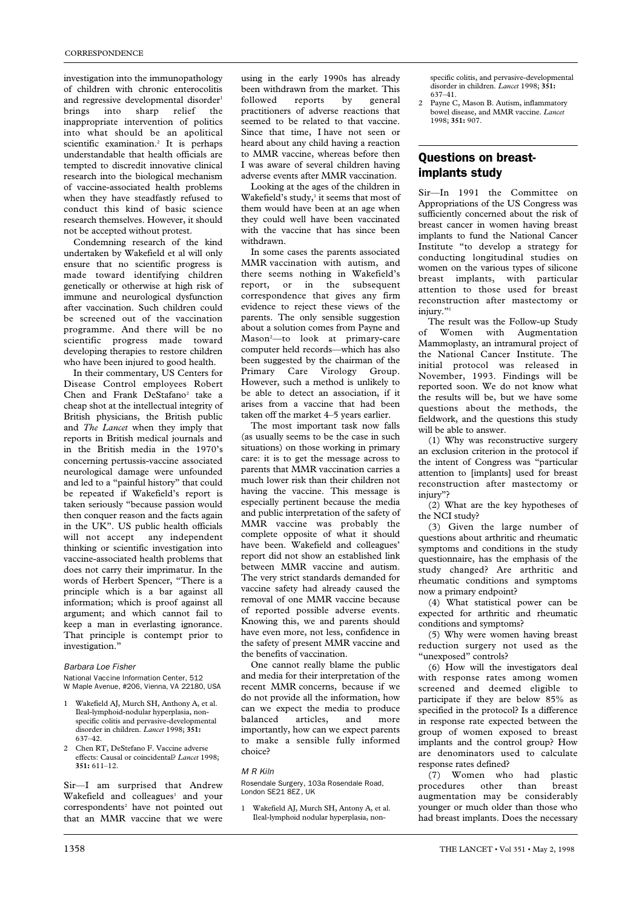investigation into the immunopathology of children with chronic enterocolitis and regressive developmental disorder<sup>1</sup> brings into sharp relief the inappropriate intervention of politics into what should be an apolitical scientific examination.<sup>2</sup> It is perhaps understandable that health officials are tempted to discredit innovative clinical research into the biological mechanism of vaccine-associated health problems when they have steadfastly refused to conduct this kind of basic science research themselves. However, it should not be accepted without protest.

Condemning research of the kind undertaken by Wakefield et al will only ensure that no scientific progress is made toward identifying children genetically or otherwise at high risk of immune and neurological dysfunction after vaccination. Such children could be screened out of the vaccination programme. And there will be no scientific progress made toward developing therapies to restore children who have been injured to good health.

In their commentary, US Centers for Disease Control employees Robert Chen and Frank DeStafano<sup>2</sup> take a cheap shot at the intellectual integrity of British physicians, the British public and *The Lancet* when they imply that reports in British medical journals and in the British media in the 1970's concerning pertussis-vaccine associated neurological damage were unfounded and led to a "painful history" that could be repeated if Wakefield's report is taken seriously "because passion would then conquer reason and the facts again in the UK". US public health officials will not accept any independent thinking or scientific investigation into vaccine-associated health problems that does not carry their imprimatur. In the words of Herbert Spencer, "There is a principle which is a bar against all information; which is proof against all argument; and which cannot fail to keep a man in everlasting ignorance. That principle is contempt prior to investigation."

#### Barbara Loe Fisher

National Vaccine Information Center, 512 W Maple Avenue, #206, Vienna, VA 22180, USA

- 1 Wakefield AJ, Murch SH, Anthony A, et al. Ileal-lymphoid-nodular hyperplasia, nonspecific colitis and pervasive-developmental disorder in children. *Lancet* 1998; **351:** 637–42.
- 2 Chen RT, DeStefano F. Vaccine adverse effects: Causal or coincidental? *Lancet* 1998; **351:** 611–12.

Sir—I am surprised that Andrew Wakefield and colleagues<sup>1</sup> and your correspondents<sup>2</sup> have not pointed out that an MMR vaccine that we were

using in the early 1990s has already been withdrawn from the market. This followed reports by general practitioners of adverse reactions that seemed to be related to that vaccine. Since that time, I have not seen or heard about any child having a reaction to MMR vaccine, whereas before then I was aware of several children having adverse events after MMR vaccination.

Looking at the ages of the children in Wakefield's study, $\frac{1}{1}$  it seems that most of them would have been at an age when they could well have been vaccinated with the vaccine that has since been withdrawn.

In some cases the parents associated MMR vaccination with autism, and there seems nothing in Wakefield's report, or in the subsequent correspondence that gives any firm evidence to reject these views of the parents. The only sensible suggestion about a solution comes from Payne and Mason<sup>2</sup>-to look at primary-care computer held records—which has also been suggested by the chairman of the Primary Care Virology Group. However, such a method is unlikely to be able to detect an association, if it arises from a vaccine that had been taken off the market 4–5 years earlier.

The most important task now falls (as usually seems to be the case in such situations) on those working in primary care: it is to get the message across to parents that MMR vaccination carries a much lower risk than their children not having the vaccine. This message is especially pertinent because the media and public interpretation of the safety of MMR vaccine was probably the complete opposite of what it should have been. Wakefield and colleagues' report did not show an established link between MMR vaccine and autism. The very strict standards demanded for vaccine safety had already caused the removal of one MMR vaccine because of reported possible adverse events. Knowing this, we and parents should have even more, not less, confidence in the safety of present MMR vaccine and the benefits of vaccination.

One cannot really blame the public and media for their interpretation of the recent MMR concerns, because if we do not provide all the information, how can we expect the media to produce balanced articles, and more importantly, how can we expect parents to make a sensible fully informed choice?

#### M R Kiln

Rosendale Surgery, 103a Rosendale Road, London SE21 8EZ, UK

Wakefield AJ, Murch SH, Antony A, et al. Ileal-lymphoid nodular hyperplasia, nonspecific colitis, and pervasive-developmental disorder in children. *Lancet* 1998; **351:** 637–41.

2 Payne C, Mason B. Autism, inflammatory bowel disease, and MMR vaccine. *Lancet* 1998; **351:** 907.

### Questions on breastimplants study

Sir—In 1991 the Committee on Appropriations of the US Congress was sufficiently concerned about the risk of breast cancer in women having breast implants to fund the National Cancer Institute "to develop a strategy for conducting longitudinal studies on women on the various types of silicone breast implants, with particular attention to those used for breast reconstruction after mastectomy or injury."<sup>1</sup>

The result was the Follow-up Study of Women with Augmentation Mammoplasty, an intramural project of the National Cancer Institute. The initial protocol was released in November, 1993. Findings will be reported soon. We do not know what the results will be, but we have some questions about the methods, the fieldwork, and the questions this study will be able to answer.

(1) Why was reconstructive surgery an exclusion criterion in the protocol if the intent of Congress was "particular attention to [implants] used for breast reconstruction after mastectomy or injury"?

(2) What are the key hypotheses of the NCI study?

(3) Given the large number of questions about arthritic and rheumatic symptoms and conditions in the study questionnaire, has the emphasis of the study changed? Are arthritic and rheumatic conditions and symptoms now a primary endpoint?

(4) What statistical power can be expected for arthritic and rheumatic conditions and symptoms?

(5) Why were women having breast reduction surgery not used as the "unexposed" controls?

(6) How will the investigators deal with response rates among women screened and deemed eligible to participate if they are below 85% as specified in the protocol? Is a difference in response rate expected between the group of women exposed to breast implants and the control group? How are denominators used to calculate response rates defined?

(7) Women who had plastic procedures other than breast augmentation may be considerably younger or much older than those who had breast implants. Does the necessary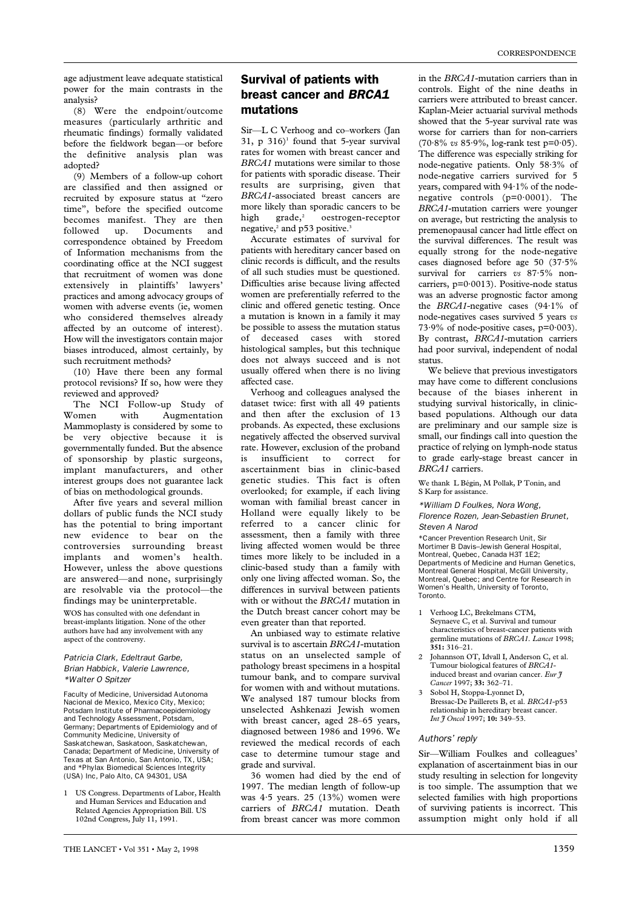age adjustment leave adequate statistical power for the main contrasts in the analysis?

(8) Were the endpoint/outcome measures (particularly arthritic and rheumatic findings) formally validated before the fieldwork began—or before the definitive analysis plan was adopted?

(9) Members of a follow-up cohort are classified and then assigned or recruited by exposure status at "zero time", before the specified outcome becomes manifest. They are then<br>followed up. Documents and Documents and correspondence obtained by Freedom of Information mechanisms from the coordinating office at the NCI suggest that recruitment of women was done extensively in plaintiffs' lawyers' practices and among advocacy groups of women with adverse events (ie, women who considered themselves already affected by an outcome of interest). How will the investigators contain major biases introduced, almost certainly, by such recruitment methods?

(10) Have there been any formal protocol revisions? If so, how were they reviewed and approved?

The NCI Follow-up Study of Women with Augmentation Mammoplasty is considered by some to be very objective because it is governmentally funded. But the absence of sponsorship by plastic surgeons, implant manufacturers, and other interest groups does not guarantee lack of bias on methodological grounds.

After five years and several million dollars of public funds the NCI study has the potential to bring important new evidence to bear on the controversies surrounding breast implants and women's health. However, unless the above questions are answered—and none, surprisingly are resolvable via the protocol—the findings may be uninterpretable.

WOS has consulted with one defendant in breast-implants litigation. None of the other authors have had any involvement with any aspect of the controversy.

Patricia Clark, Edeltraut Garbe, Brian Habbick, Valerie Lawrence, \*Walter O Spitzer

Faculty of Medicine, Universidad Autonoma Nacional de Mexico, Mexico City, Mexico; Potsdam Institute of Pharmacoepidemiology and Technology Assessment, Potsdam, Germany; Departments of Epidemiology and of Community Medicine, University of Saskatchewan, Saskatoon, Saskatchewan, Canada; Department of Medicine, University of Texas at San Antonio, San Antonio, TX, USA; and \*Phylax Biomedical Sciences Integrity (USA) Inc, Palo Alto, CA 94301, USA

US Congress. Departments of Labor, Health and Human Services and Education and Related Agencies Appropriation Bill. US 102nd Congress, July 11, 1991.

# Survival of patients with breast cancer and BRCA1 mutations

Sir—L C Verhoog and co–workers (Jan 31, p  $316$ <sup>1</sup> found that 5-year survival rates for women with breast cancer and *BRCA1* mutations were similar to those for patients with sporadic disease. Their results are surprising, given that *BRCA1*-associated breast cancers are more likely than sporadic cancers to be high grade,<sup>2</sup> oestrogen-receptor negative,<sup>2</sup> and p53 positive.<sup>3</sup>

Accurate estimates of survival for patients with hereditary cancer based on clinic records is difficult, and the results of all such studies must be questioned. Difficulties arise because living affected women are preferentially referred to the clinic and offered genetic testing. Once a mutation is known in a family it may be possible to assess the mutation status of deceased cases with stored histological samples, but this technique does not always succeed and is not usually offered when there is no living affected case.

Verhoog and colleagues analysed the dataset twice: first with all 49 patients and then after the exclusion of 13 probands. As expected, these exclusions negatively affected the observed survival rate. However, exclusion of the proband is insufficient to correct for ascertainment bias in clinic-based genetic studies. This fact is often overlooked; for example, if each living woman with familial breast cancer in Holland were equally likely to be referred to a cancer clinic for assessment, then a family with three living affected women would be three times more likely to be included in a clinic-based study than a family with only one living affected woman. So, the differences in survival between patients with or without the *BRCA1* mutation in the Dutch breast cancer cohort may be even greater than that reported.

An unbiased way to estimate relative survival is to ascertain *BRCA1*-mutation status on an unselected sample of pathology breast specimens in a hospital tumour bank, and to compare survival for women with and without mutations. We analysed 187 tumour blocks from unselected Ashkenazi Jewish women with breast cancer, aged 28–65 years, diagnosed between 1986 and 1996. We reviewed the medical records of each case to determine tumour stage and grade and survival.

36 women had died by the end of 1997. The median length of follow-up was  $4.5$  years. 25 (13%) women were carriers of *BRCA1* mutation. Death from breast cancer was more common

in the *BRCA1-*mutation carriers than in controls. Eight of the nine deaths in carriers were attributed to breast cancer. Kaplan-Meier actuarial survival methods showed that the 5-year survival rate was worse for carriers than for non-carriers (70·8% *vs* 85·9%, log-rank test p=0·05). The difference was especially striking for node-negative patients. Only 58·3% of node-negative carriers survived for 5 years, compared with 94·1% of the nodenegative controls  $(p=0.0001)$ . The *BRCA1*-mutation carriers were younger on average, but restricting the analysis to premenopausal cancer had little effect on the survival differences. The result was equally strong for the node-negative cases diagnosed before age 50 (37·5% survival for carriers *vs* 87·5% noncarriers, p=0·0013). Positive-node status was an adverse prognostic factor among the *BRCA1*-negative cases (94·1% of node-negatives cases survived 5 years *vs* 73.9% of node-positive cases,  $p=0.003$ ). By contrast, *BRCA1*-mutation carriers had poor survival, independent of nodal status.

We believe that previous investigators may have come to different conclusions because of the biases inherent in studying survival historically, in clinicbased populations. Although our data are preliminary and our sample size is small, our findings call into question the practice of relying on lymph-node status to grade early-stage breast cancer in *BRCA1* carriers.

We thank L Bégin, M Pollak, P Tonin, and S Karp for assistance.

\*William D Foulkes, Nora Wong, Florence Rozen, Jean-Sebastien Brunet, Steven A Narod

\*Cancer Prevention Research Unit, Sir Mortimer B Davis–Jewish General Hospital, Montreal, Quebec, Canada H3T 1E2; Departments of Medicine and Human Genetics, Montreal General Hospital, McGill University, Montreal, Quebec; and Centre for Research in Women's Health, University of Toronto, Toronto.

- 1 Verhoog LC, Brekelmans CTM, Seynaeve C, et al. Survival and tumour characteristics of breast-cancer patients with germline mutations of *BRCA1. Lancet* 1998; **351:** 316–21.
- 2 Johannson OT, Idvall I, Anderson C, et al. Tumour biological features of *BRCA1* induced breast and ovarian cancer. *Eur J Cancer* 1997; **33:** 362–71.
- Sobol H, Stoppa-Lyonnet D, Bressac-De Paillerets B, et al. *BRCA1*-p53 relationship in hereditary breast cancer. *Int J Oncol* 1997; **10:** 349–53.

### Authors' reply

Sir—William Foulkes and colleagues' explanation of ascertainment bias in our study resulting in selection for longevity is too simple. The assumption that we selected families with high proportions of surviving patients is incorrect. This assumption might only hold if all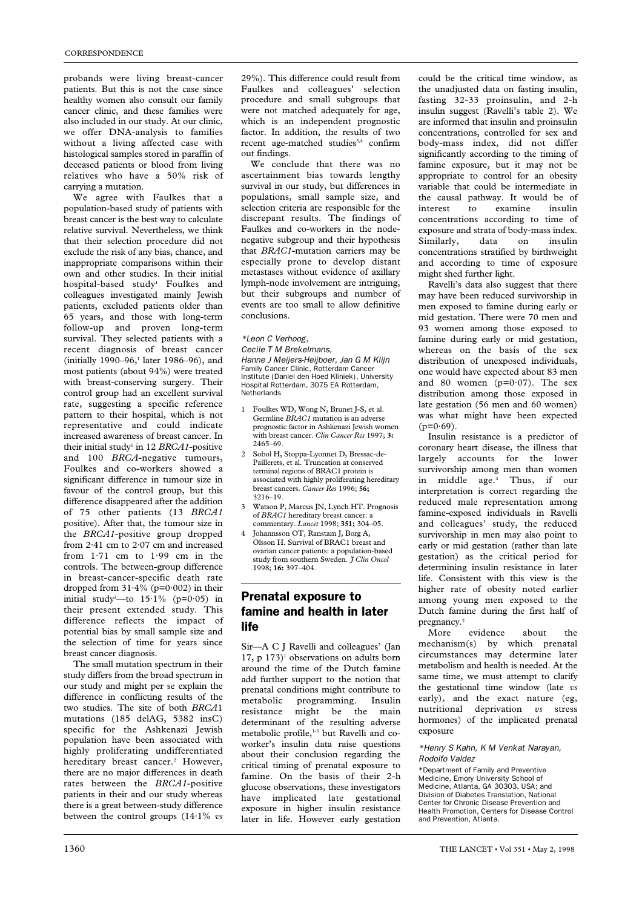probands were living breast-cancer patients. But this is not the case since healthy women also consult our family cancer clinic, and these families were also included in our study. At our clinic, we offer DNA-analysis to families without a living affected case with histological samples stored in paraffin of deceased patients or blood from living relatives who have a 50% risk of carrying a mutation.

We agree with Faulkes that a population-based study of patients with breast cancer is the best way to calculate relative survival. Nevertheless, we think that their selection procedure did not exclude the risk of any bias, chance, and inappropriate comparisons within their own and other studies. In their initial hospital-based study<sup>1</sup> Foulkes and colleagues investigated mainly Jewish patients, excluded patients older than 65 years, and those with long-term follow-up and proven long-term survival. They selected patients with a recent diagnosis of breast cancer (initially 1990–96, $1$  later 1986–96), and most patients (about 94%) were treated with breast-conserving surgery. Their control group had an excellent survival rate, suggesting a specific reference pattern to their hospital, which is not representative and could indicate increased awareness of breast cancer. In their initial study<sup>1</sup> in 12 *BRCA1*-positive and 100 *BRCA*-negative tumours, Foulkes and co-workers showed a significant difference in tumour size in favour of the control group, but this difference disappeared after the addition of 75 other patients (13 *BRCA1* positive). After that, the tumour size in the *BRCA1*-positive group dropped from 2·41 cm to 2·07 cm and increased from 1·71 cm to 1·99 cm in the controls. The between-group difference in breast-cancer-specific death rate dropped from  $31.4\%$  (p=0.002) in their initial study<sup>1</sup>—to  $15.1\%$  (p=0.05) in their present extended study. This difference reflects the impact of potential bias by small sample size and the selection of time for years since breast cancer diagnosis.

The small mutation spectrum in their study differs from the broad spectrum in our study and might per se explain the difference in conflicting results of the two studies. The site of both *BRCA*1 mutations (185 delAG, 5382 insC) specific for the Ashkenazi Jewish population have been associated with highly proliferating undifferentiated hereditary breast cancer.<sup>2</sup> However, there are no major differences in death rates between the *BRCA1*-positive patients in their and our study whereas there is a great between-study difference between the control groups (14·1% *vs*

We conclude that there was no ascertainment bias towards lengthy survival in our study, but differences in populations, small sample size, and selection criteria are responsible for the discrepant results. The findings of Faulkes and co-workers in the nodenegative subgroup and their hypothesis that *BRAC1*-mutation carriers may be especially prone to develop distant metastases without evidence of axillary lymph-node involvement are intriguing, but their subgroups and number of events are too small to allow definitive conclusions.

\*Leon C Verhoog,

Cecile T M Brekelmans, Hanne J Meijers-Heijboer, Jan G M Klijn Family Cancer Clinic, Rotterdam Cancer Institute (Daniel den Hoed Kliniek), University Hospital Rotterdam, 3075 EA Rotterdam, Netherlands

- 1 Foulkes WD, Wong N, Brunet J-S, et al. Germline *BRAC1* mutation is an adverse prognostic factor in Ashkenazi Jewish women with breast cancer. *Clin Cancer Res* 1997; **3:** 2465–69.
- 2 Sobol H, Stoppa-Lyonnet D, Bressac-de-Paillerets, et al. Truncation at conserved terminal regions of BRAC1 protein is associated with highly proliferating hereditary breast cancers. *Cancer Res* 1996; **56;** 3216–19.
- Watson P, Marcus JN, Lynch HT. Prognosis of *BRAC1* hereditary breast cancer: a commentary. *Lancet* 1998; **351;** 304–05.
- 4 Johannsson OT, Ranstam J, Borg A, Olsson H. Survival of BRAC1 breast and ovarian cancer patients: a population-based study from southern Sweden. *J Clin Oncol* 1998; **16:** 397–404.

# Prenatal exposure to famine and health in later life

Sir—A C J Ravelli and colleagues' (Jan 17, p  $173)$ <sup>1</sup> observations on adults born around the time of the Dutch famine add further support to the notion that prenatal conditions might contribute to metabolic programming. Insulin resistance might be the main determinant of the resulting adverse metabolic profile,<sup>1-3</sup> but Ravelli and coworker's insulin data raise questions about their conclusion regarding the critical timing of prenatal exposure to famine. On the basis of their 2-h glucose observations, these investigators have implicated late gestational exposure in higher insulin resistance later in life. However early gestation

could be the critical time window, as the unadjusted data on fasting insulin, fasting 32-33 proinsulin, and 2-h insulin suggest (Ravelli's table 2). We are informed that insulin and proinsulin concentrations, controlled for sex and body-mass index, did not differ significantly according to the timing of famine exposure, but it may not be appropriate to control for an obesity variable that could be intermediate in the causal pathway. It would be of interest to examine insulin concentrations according to time of exposure and strata of body-mass index. Similarly, data on insulin concentrations stratified by birthweight and according to time of exposure might shed further light.

Ravelli's data also suggest that there may have been reduced survivorship in men exposed to famine during early or mid gestation. There were 70 men and 93 women among those exposed to famine during early or mid gestation, whereas on the basis of the sex distribution of unexposed individuals, one would have expected about 83 men and 80 women (p=0·07). The sex distribution among those exposed in late gestation (56 men and 60 women) was what might have been expected  $(p=0.69)$ .

Insulin resistance is a predictor of coronary heart disease, the illness that largely accounts for the lower survivorship among men than women in middle age.4 Thus, if our interpretation is correct regarding the reduced male representation among famine-exposed individuals in Ravelli and colleagues' study, the reduced survivorship in men may also point to early or mid gestation (rather than late gestation) as the critical period for determining insulin resistance in later life. Consistent with this view is the higher rate of obesity noted earlier among young men exposed to the Dutch famine during the first half of pregnancy.5

More evidence about the mechanism(s) by which prenatal circumstances may determine later metabolism and health is needed. At the same time, we must attempt to clarify the gestational time window (late *vs* early), and the exact nature (eg, nutritional deprivation *vs* stress hormones) of the implicated prenatal exposure

\*Henry S Kahn, K M Venkat Narayan, Rodolfo Valdez

\*Department of Family and Preventive Medicine, Emory University School of Medicine, Atlanta, GA 30303, USA; and Division of Diabetes Translation, National Center for Chronic Disease Prevention and Health Promotion, Centers for Disease Control and Prevention, Atlanta.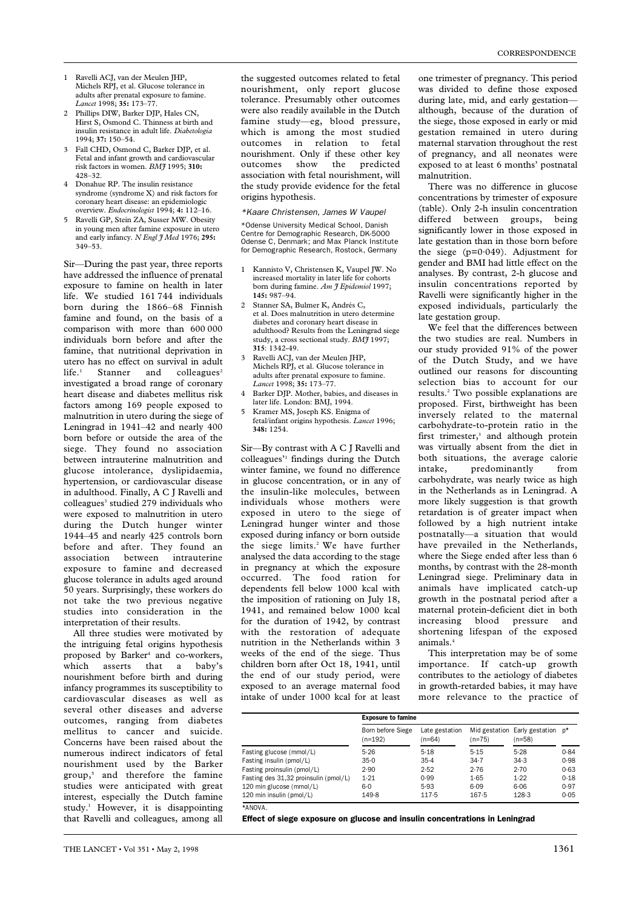- 1 Ravelli ACJ, van der Meulen JHP, Michels RPJ, et al. Glucose tolerance in adults after prenatal exposure to famine. *Lancet* 1998; **35:** 173–77.
- 2 Phillips DIW, Barker DJP, Hales CN, Hirst S, Osmond C. Thinness at birth and insulin resistance in adult life. *Diabetologia* 1994; **37:** 150–54.
- 3 Fall CHD, Osmond C, Barker DJP, et al. Fetal and infant growth and cardiovascular risk factors in women. *BMJ* 1995; **310:** 428–32.
- 4 Donahue RP. The insulin resistance syndrome (syndrome X) and risk factors for coronary heart disease: an epidemiologic overview. *Endocrinologist* 1994; **4:** 112–16.
- 5 Ravelli GP, Stein ZA, Susser MW. Obesity in young men after famine exposure in utero and early infancy. *N Engl J Med* 1976; **295:** 349–53.

Sir—During the past year, three reports have addressed the influence of prenatal exposure to famine on health in later life. We studied 161 744 individuals born during the 1866–68 Finnish famine and found, on the basis of a comparison with more than 600 000 individuals born before and after the famine, that nutritional deprivation in utero has no effect on survival in adult  $life.<sup>1</sup>$  Stanner and colleagues<sup>2</sup> investigated a broad range of coronary heart disease and diabetes mellitus risk factors among 169 people exposed to malnutrition in utero during the siege of Leningrad in 1941–42 and nearly 400 born before or outside the area of the siege. They found no association between intrauterine malnutrition and glucose intolerance, dyslipidaemia, hypertension, or cardiovascular disease in adulthood. Finally, A C J Ravelli and colleagues<sup>3</sup> studied 279 individuals who were exposed to malnutrition in utero during the Dutch hunger winter 1944–45 and nearly 425 controls born before and after. They found an association between intrauterine exposure to famine and decreased glucose tolerance in adults aged around 50 years. Surprisingly, these workers do not take the two previous negative studies into consideration in the interpretation of their results.

All three studies were motivated by the intriguing fetal origins hypothesis proposed by Barker<sup>4</sup> and co-workers, which asserts that a baby's nourishment before birth and during infancy programmes its susceptibility to cardiovascular diseases as well as several other diseases and adverse outcomes, ranging from diabetes mellitus to cancer and suicide. Concerns have been raised about the numerous indirect indicators of fetal nourishment used by the Barker group,5 and therefore the famine studies were anticipated with great interest, especially the Dutch famine study.<sup>1</sup> However, it is disappointing that Ravelli and colleagues, among all

the suggested outcomes related to fetal nourishment, only report glucose tolerance. Presumably other outcomes were also readily available in the Dutch famine study—eg, blood pressure, which is among the most studied outcomes in relation to fetal nourishment. Only if these other key outcomes show the predicted association with fetal nourishment, will the study provide evidence for the fetal origins hypothesis.

#### \*Kaare Christensen, James W Vaupel

\*Odense University Medical School, Danish Centre for Demographic Research, DK-5000 Odense C, Denmark; and Max Planck Institute for Demographic Research, Rostock, Germany

- 1 Kannisto V, Christensen K, Vaupel JW. No increased mortality in later life for cohorts born during famine. *Am J Epidemiol* 1997; **145:** 987–94.
- 2 Stanner SA, Bulmer K, Andrés C, et al. Does malnutrition in utero determine diabetes and coronary heart disease in adulthood? Results from the Leningrad siege study, a cross sectional study. *BMJ* 1997; **315**: 1342-49.
- 3 Ravelli ACJ, van der Meulen JHP, Michels RPJ, et al. Glucose tolerance in adults after prenatal exposure to famine. *Lancet* 1998; **35:** 173–77.
- Barker DJP. Mother, babies, and diseases in later life. London: BMJ, 1994.
- 5 Kramer MS, Joseph KS. Enigma of fetal/infant origins hypothesis. *Lancet* 1996; **348:** 1254.

Sir—By contrast with A C J Ravelli and colleagues'1 findings during the Dutch winter famine, we found no difference in glucose concentration, or in any of the insulin-like molecules, between individuals whose mothers were exposed in utero to the siege of Leningrad hunger winter and those exposed during infancy or born outside the siege limits.<sup>2</sup> We have further analysed the data according to the stage in pregnancy at which the exposure occurred. The food ration for dependents fell below 1000 kcal with the imposition of rationing on July 18, 1941, and remained below 1000 kcal for the duration of 1942, by contrast with the restoration of adequate nutrition in the Netherlands within 3 weeks of the end of the siege. Thus children born after Oct 18, 1941, until the end of our study period, were exposed to an average maternal food intake of under 1000 kcal for at least

one trimester of pregnancy. This period was divided to define those exposed during late, mid, and early gestation although, because of the duration of the siege, those exposed in early or mid gestation remained in utero during maternal starvation throughout the rest of pregnancy, and all neonates were exposed to at least 6 months' postnatal malnutrition.

There was no difference in glucose concentrations by trimester of exposure (table). Only 2-h insulin concentration differed between groups, being significantly lower in those exposed in late gestation than in those born before the siege  $(p=0.049)$ . Adjustment for gender and BMI had little effect on the analyses. By contrast, 2-h glucose and insulin concentrations reported by Ravelli were significantly higher in the exposed individuals, particularly the late gestation group.

We feel that the differences between the two studies are real. Numbers in our study provided 91% of the power of the Dutch Study, and we have outlined our reasons for discounting selection bias to account for our results.2 Two possible explanations are proposed. First, birthweight has been inversely related to the maternal carbohydrate-to-protein ratio in the first trimester,<sup>3</sup> and although protein was virtually absent from the diet in both situations, the average calorie intake, predominantly from carbohydrate, was nearly twice as high in the Netherlands as in Leningrad. A more likely suggestion is that growth retardation is of greater impact when followed by a high nutrient intake postnatally—a situation that would have prevailed in the Netherlands, where the Siege ended after less than 6 months, by contrast with the 28-month Leningrad siege. Preliminary data in animals have implicated catch-up growth in the postnatal period after a maternal protein-deficient diet in both increasing blood pressure and shortening lifespan of the exposed animals.4

This interpretation may be of some importance. If catch-up growth contributes to the aetiology of diabetes in growth-retarded babies, it may have more relevance to the practice of

|                                       | <b>Exposure to famine</b>      |                          |          |                                            |      |
|---------------------------------------|--------------------------------|--------------------------|----------|--------------------------------------------|------|
|                                       | Born before Siege<br>$(n=192)$ | Late gestation<br>(n=64) | $(n=75)$ | Mid gestation Early gestation p*<br>(n=58) |      |
| Fasting glucose (mmol/L)              | 5.26                           | 5.18                     | 5.15     | 5.28                                       | 0.84 |
| Fasting insulin (pmol/L)              | 35.0                           | $35-4$                   | $34 - 7$ | 34.3                                       | 0.98 |
| Fasting proinsulin (pmol/L)           | 2.90                           | 2.52                     | 2.76     | 2.70                                       | 0.63 |
| Fasting des 31,32 proinsulin (pmol/L) | 1.21                           | 0.99                     | 1.65     | 1.22                                       | 0.18 |
| 120 min glucose (mmol/L)              | $6-0$                          | 5.93                     | 6.09     | 6.06                                       | 0.97 |
| 120 min insulin (pmol/L)              | 149.8                          | 117.5                    | 167.5    | $128-3$                                    | 0.05 |

\*ANOVA.

Effect of siege exposure on glucose and insulin concentrations in Leningrad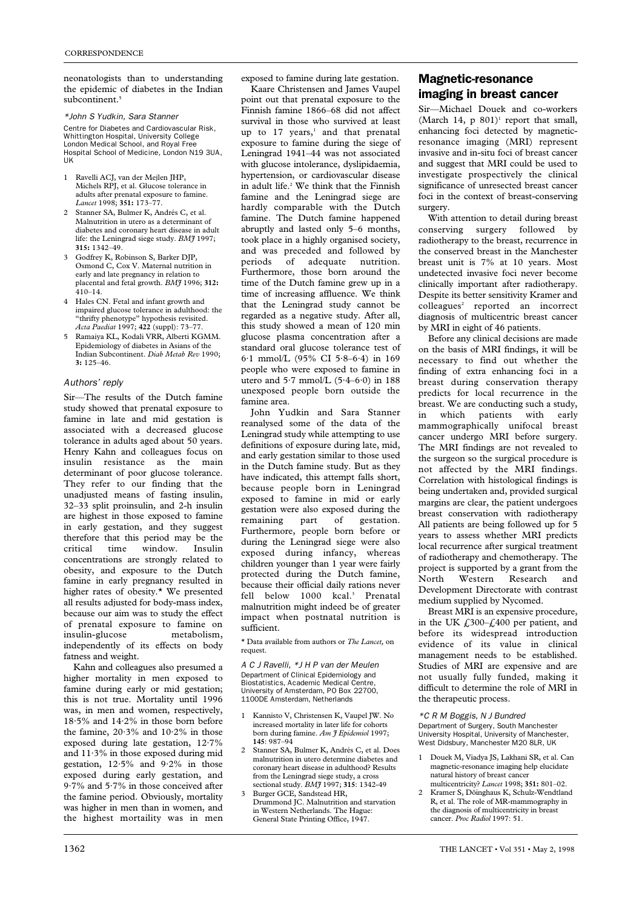neonatologists than to understanding the epidemic of diabetes in the Indian subcontinent.<sup>5</sup>

\*John S Yudkin, Sara Stanner

Centre for Diabetes and Cardiovascular Risk, Whittington Hospital, University College London Medical School, and Royal Free Hospital School of Medicine, London N19 3UA, UK

- 1 Ravelli ACJ, van der Mejlen JHP, Michels RPJ, et al. Glucose tolerance in adults after prenatal exposure to famine. *Lancet* 1998; **351:** 173–77.
- 2 Stanner SA, Bulmer K, Andrés C, et al. Malnutrition in utero as a determinant of diabetes and coronary heart disease in adult life: the Leningrad siege study. *BMJ* 1997; **315:** 1342–49.
- 3 Godfrey K, Robinson S, Barker DJP, Osmond C, Cox V. Maternal nutrition in early and late pregnancy in relation to placental and fetal growth. *BMJ* 1996; **312:**  $-410-14.$
- 4 Hales CN. Fetal and infant growth and impaired glucose tolerance in adulthood: the "thrifty phenotype" hypothesis revisited. *Acta Paediat* 1997; **422** (suppl): 73–77.
- 5 Ramaiya KL, Kodali VRR, Alberti KGMM. Epidemiology of diabetes in Asians of the Indian Subcontinent. *Diab Metab Rev* 1990; **3:** 125–46.

### Authors' reply

Sir—The results of the Dutch famine study showed that prenatal exposure to famine in late and mid gestation is associated with a decreased glucose tolerance in adults aged about 50 years. Henry Kahn and colleagues focus on insulin resistance as the main determinant of poor glucose tolerance. They refer to our finding that the unadjusted means of fasting insulin, 32–33 split proinsulin, and 2-h insulin are highest in those exposed to famine in early gestation, and they suggest therefore that this period may be the critical time window. Insulin concentrations are strongly related to obesity, and exposure to the Dutch famine in early pregnancy resulted in higher rates of obesity.\* We presented all results adjusted for body-mass index, because our aim was to study the effect of prenatal exposure to famine on insulin-glucose metabolism, independently of its effects on body fatness and weight.

Kahn and colleagues also presumed a higher mortality in men exposed to famine during early or mid gestation; this is not true. Mortality until 1996 was, in men and women, respectively, 18·5% and 14·2% in those born before the famine, 20·3% and 10·2% in those exposed during late gestation, 12·7% and 11·3% in those exposed during mid gestation, 12·5% and 9·2% in those exposed during early gestation, and 9·7% and 5·7% in those conceived after the famine period. Obviously, mortality was higher in men than in women, and the highest mortaility was in men

exposed to famine during late gestation.

Kaare Christensen and James Vaupel point out that prenatal exposure to the Finnish famine 1866–68 did not affect survival in those who survived at least up to  $17$  years,<sup>1</sup> and that prenatal exposure to famine during the siege of Leningrad 1941–44 was not associated with glucose intolerance, dyslipidaemia, hypertension, or cardiovascular disease in adult life.<sup>2</sup> We think that the Finnish famine and the Leningrad siege are hardly comparable with the Dutch famine. The Dutch famine happened abruptly and lasted only 5–6 months, took place in a highly organised society, and was preceded and followed by<br>periods of adequate nutrition. adequate nutrition. Furthermore, those born around the time of the Dutch famine grew up in a time of increasing affluence. We think that the Leningrad study cannot be regarded as a negative study. After all, this study showed a mean of 120 min glucose plasma concentration after a standard oral glucose tolerance test of 6·1 mmol/L (95% CI 5·8–6·4) in 169 people who were exposed to famine in utero and  $5.7$  mmol/L  $(5.4-6.0)$  in 188 unexposed people born outside the famine area.

John Yudkin and Sara Stanner reanalysed some of the data of the Leningrad study while attempting to use definitions of exposure during late, mid, and early gestation similar to those used in the Dutch famine study. But as they have indicated, this attempt falls short, because people born in Leningrad exposed to famine in mid or early gestation were also exposed during the remaining part of gestation. Furthermore, people born before or during the Leningrad siege were also exposed during infancy, whereas children younger than 1 year were fairly protected during the Dutch famine, because their official daily rations never fell below 1000 kcal.<sup>3</sup> Prenatal malnutrition might indeed be of greater impact when postnatal nutrition is sufficient.

\* Data available from authors or *The Lancet,* on request.

A C J Ravelli, \*J H P van der Meulen Department of Clinical Epidemiology and Biostatistics, Academic Medical Centre, University of Amsterdam, PO Box 22700, 1100DE Amsterdam, Netherlands

- 1 Kannisto V, Christensen K, Vaupel JW. No increased mortality in later life for cohorts born during famine. *Am J Epidemiol* 1997; **145**: 987–94
- 2 Stanner SA, Bulmer K, Andrés C, et al. Does malnutrition in utero determine diabetes and coronary heart disease in adulthood? Results from the Leningrad siege study, a cross sectional study. *BMJ* 1997; **315**: 1342-49
- 3 Burger GCE, Sandstead HR, Drummond JC. Malnutrition and starvation in Western Netherlands. The Hague: General State Printing Office, 1947.

## Magnetic-resonance imaging in breast cancer

Sir—Michael Douek and co-workers (March 14, p  $801$ )<sup>1</sup> report that small, enhancing foci detected by magneticresonance imaging (MRI) represent invasive and in-situ foci of breast cancer and suggest that MRI could be used to investigate prospectively the clinical significance of unresected breast cancer foci in the context of breast-conserving surgery.

With attention to detail during breast conserving surgery followed by radiotherapy to the breast, recurrence in the conserved breast in the Manchester breast unit is 7% at 10 years. Most undetected invasive foci never become clinically important after radiotherapy. Despite its better sensitivity Kramer and colleagues<sup>2</sup> reported an incorrect diagnosis of multicentric breast cancer by MRI in eight of 46 patients.

Before any clinical decisions are made on the basis of MRI findings, it will be necessary to find out whether the finding of extra enhancing foci in a breast during conservation therapy predicts for local recurrence in the breast. We are conducting such a study, in which patients with early mammographically unifocal breast cancer undergo MRI before surgery. The MRI findings are not revealed to the surgeon so the surgical procedure is not affected by the MRI findings. Correlation with histological findings is being undertaken and, provided surgical margins are clear, the patient undergoes breast conservation with radiotherapy All patients are being followed up for 5 years to assess whether MRI predicts local recurrence after surgical treatment of radiotherapy and chemotherapy. The project is supported by a grant from the North Western Research and Development Directorate with contrast medium supplied by Nycomed.

Breast MRI is an expensive procedure, in the UK  $f<sub>1</sub>300-f<sub>2</sub>400$  per patient, and before its widespread introduction evidence of its value in clinical management needs to be established. Studies of MRI are expensive and are not usually fully funded, making it difficult to determine the role of MRI in the therapeutic process.

### \*C R M Boggis, N J Bundred

Department of Surgery, South Manchester University Hospital, University of Manchester, West Didsbury, Manchester M20 8LR, UK

- 1 Douek M, Viadya JS, Lakhani SR, et al. Can magnetic-resonance imaging help elucidate natural history of breast cancer multicentricity? *Lancet* 1998; **351:** 801–02.
- 2 Kramer S, Döinghaus K, Schulz-Wendtland R, et al. The role of MR-mammography in the diagnosis of multicentricity in breast cancer. *Proc Radiol* 1997: 51.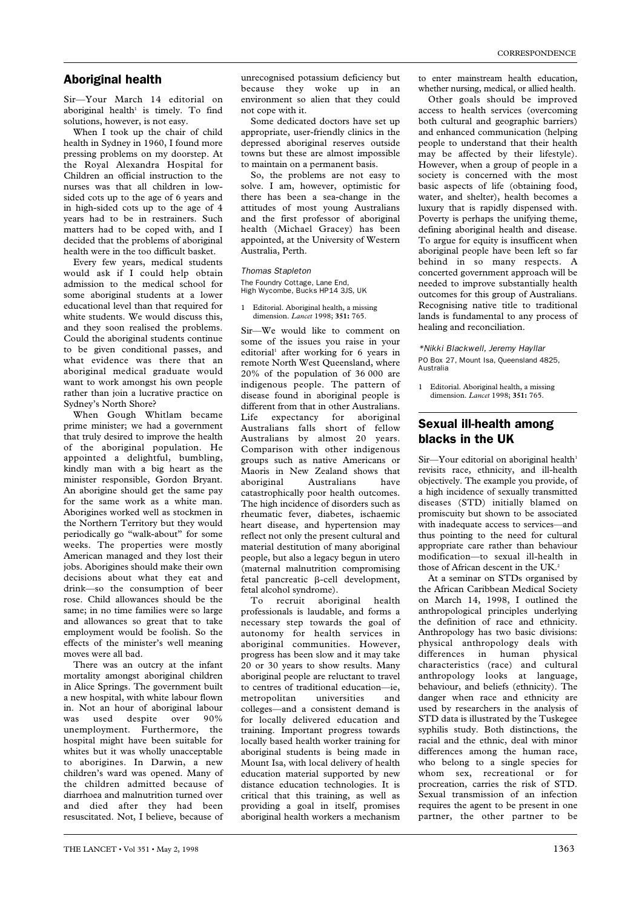### Aboriginal health

Sir—Your March 14 editorial on aboriginal health<sup>1</sup> is timely. To find solutions, however, is not easy.

When I took up the chair of child health in Sydney in 1960, I found more pressing problems on my doorstep. At the Royal Alexandra Hospital for Children an official instruction to the nurses was that all children in lowsided cots up to the age of 6 years and in high-sided cots up to the age of 4 years had to be in restrainers. Such matters had to be coped with, and I decided that the problems of aboriginal health were in the too difficult basket.

Every few years, medical students would ask if I could help obtain admission to the medical school for some aboriginal students at a lower educational level than that required for white students. We would discuss this, and they soon realised the problems. Could the aboriginal students continue to be given conditional passes, and what evidence was there that an aboriginal medical graduate would want to work amongst his own people rather than join a lucrative practice on Sydney's North Shore?

When Gough Whitlam became prime minister; we had a government that truly desired to improve the health of the aboriginal population. He appointed a delightful, bumbling, kindly man with a big heart as the minister responsible, Gordon Bryant. An aborigine should get the same pay for the same work as a white man. Aborigines worked well as stockmen in the Northern Territory but they would periodically go "walk-about" for some weeks. The properties were mostly American managed and they lost their jobs. Aborigines should make their own decisions about what they eat and drink—so the consumption of beer rose. Child allowances should be the same; in no time families were so large and allowances so great that to take employment would be foolish. So the effects of the minister's well meaning moves were all bad.

There was an outcry at the infant mortality amongst aboriginal children in Alice Springs. The government built a new hospital, with white labour flown in. Not an hour of aboriginal labour<br>was used despite over 90% was used despite over 90% unemployment. Furthermore, the hospital might have been suitable for whites but it was wholly unacceptable to aborigines. In Darwin, a new children's ward was opened. Many of the children admitted because of diarrhoea and malnutrition turned over and died after they had been resuscitated. Not, I believe, because of

unrecognised potassium deficiency but because they woke up in an environment so alien that they could not cope with it.

Some dedicated doctors have set up appropriate, user-friendly clinics in the depressed aboriginal reserves outside towns but these are almost impossible to maintain on a permanent basis.

So, the problems are not easy to solve. I am, however, optimistic for there has been a sea-change in the attitudes of most young Australians and the first professor of aboriginal health (Michael Gracey) has been appointed, at the University of Western Australia, Perth.

#### Thomas Stapleton

The Foundry Cottage, Lane End, High Wycombe, Bucks HP14 3JS, UK

1 Editorial. Aboriginal health, a missing dimension. *Lancet* 1998; **351:** 765.

Sir—We would like to comment on some of the issues you raise in your editorial<sup>1</sup> after working for 6 years in remote North West Queensland, where 20% of the population of 36 000 are indigenous people. The pattern of disease found in aboriginal people is different from that in other Australians. Life expectancy for aboriginal Australians falls short of fellow Australians by almost 20 years. Comparison with other indigenous groups such as native Americans or Maoris in New Zealand shows that aboriginal Australians have catastrophically poor health outcomes. The high incidence of disorders such as rheumatic fever, diabetes, ischaemic heart disease, and hypertension may reflect not only the present cultural and material destitution of many aboriginal people, but also a legacy begun in utero (maternal malnutrition compromising fetal pancreatic b-cell development, fetal alcohol syndrome).

To recruit aboriginal health professionals is laudable, and forms a necessary step towards the goal of autonomy for health services in aboriginal communities. However, progress has been slow and it may take 20 or 30 years to show results. Many aboriginal people are reluctant to travel to centres of traditional education—ie, metropolitan universities and colleges—and a consistent demand is for locally delivered education and training. Important progress towards locally based health worker training for aboriginal students is being made in Mount Isa, with local delivery of health education material supported by new distance education technologies. It is critical that this training, as well as providing a goal in itself, promises aboriginal health workers a mechanism

to enter mainstream health education, whether nursing, medical, or allied health.

Other goals should be improved access to health services (overcoming both cultural and geographic barriers) and enhanced communication (helping people to understand that their health may be affected by their lifestyle). However, when a group of people in a society is concerned with the most basic aspects of life (obtaining food, water, and shelter), health becomes a luxury that is rapidly dispensed with. Poverty is perhaps the unifying theme, defining aboriginal health and disease. To argue for equity is insufficent when aboriginal people have been left so far behind in so many respects. A concerted government approach will be needed to improve substantially health outcomes for this group of Australians. Recognising native title to traditional lands is fundamental to any process of healing and reconciliation.

\*Nikki Blackwell, Jeremy Hayllar PO Box 27, Mount Isa, Queensland 4825, Australia

1 Editorial. Aboriginal health, a missing dimension. *Lancet* 1998; **351:** 765.

# Sexual ill-health among blacks in the UK

Sir—Your editorial on aboriginal health<sup>1</sup> revisits race, ethnicity, and ill-health objectively. The example you provide, of a high incidence of sexually transmitted diseases (STD) initially blamed on promiscuity but shown to be associated with inadequate access to services—and thus pointing to the need for cultural appropriate care rather than behaviour modification—to sexual ill-health in those of African descent in the UK.<sup>2</sup>

At a seminar on STDs organised by the African Caribbean Medical Society on March 14, 1998, I outlined the anthropological principles underlying the definition of race and ethnicity. Anthropology has two basic divisions: physical anthropology deals with differences in human physical characteristics (race) and cultural anthropology looks at language, behaviour, and beliefs (ethnicity). The danger when race and ethnicity are used by researchers in the analysis of STD data is illustrated by the Tuskegee syphilis study. Both distinctions, the racial and the ethnic, deal with minor differences among the human race, who belong to a single species for whom sex, recreational or for procreation, carries the risk of STD. Sexual transmission of an infection requires the agent to be present in one partner, the other partner to be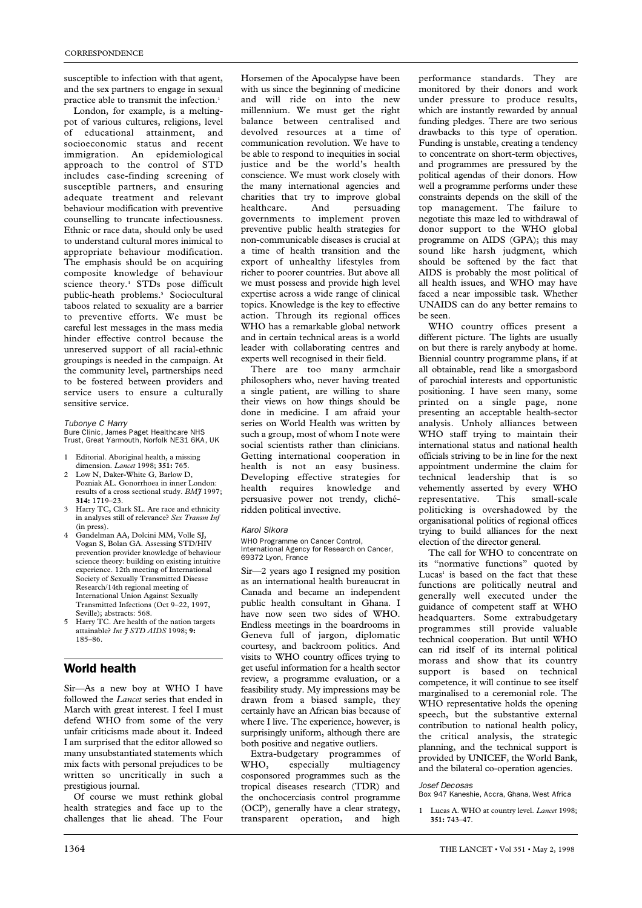susceptible to infection with that agent, and the sex partners to engage in sexual practice able to transmit the infection.<sup>1</sup>

London, for example, is a meltingpot of various cultures, religions, level of educational attainment, and socioeconomic status and recent immigration. An epidemiological approach to the control of STD includes case-finding screening of susceptible partners, and ensuring adequate treatment and relevant behaviour modification with preventive counselling to truncate infectiousness. Ethnic or race data, should only be used to understand cultural mores inimical to appropriate behaviour modification. The emphasis should be on acquiring composite knowledge of behaviour science theory.<sup>4</sup> STDs pose difficult public-heath problems.<sup>5</sup> Sociocultural taboos related to sexuality are a barrier to preventive efforts. We must be careful lest messages in the mass media hinder effective control because the unreserved support of all racial-ethnic groupings is needed in the campaign. At the community level, partnerships need to be fostered between providers and service users to ensure a culturally sensitive service.

#### Tubonye C Harry

Bure Clinic, James Paget Healthcare NHS Trust, Great Yarmouth, Norfolk NE31 6KA, UK

- 1 Editorial. Aboriginal health, a missing dimension. *Lancet* 1998; **351:** 765.
- 2 Low N, Daker-White G, Barlow D, Pozniak AL. Gonorrhoea in inner London: results of a cross sectional study. *BMJ* 1997; **314:** 1719–23.
- 3 Harry TC, Clark SL. Are race and ethnicity in analyses still of relevance? *Sex Transm Inf* (in press).
- 4 Gandelman AA, Dolcini MM, Volle SJ, Vogan S, Bolan GA. Assessing STD/HIV prevention provider knowledge of behaviour science theory: building on existing intuitive experience. 12th meeting of International Society of Sexually Transmitted Disease Research/14th regional meeting of International Union Against Sexually Transmitted Infections (Oct 9–22, 1997, Seville); abstracts: 568.
- 5 Harry TC. Are health of the nation targets attainable? *Int J STD AIDS* 1998; **9:** 185–86.

### World health

Sir—As a new boy at WHO I have followed the *Lancet* series that ended in March with great interest. I feel I must defend WHO from some of the very unfair criticisms made about it. Indeed I am surprised that the editor allowed so many unsubstantiated statements which mix facts with personal prejudices to be written so uncritically in such a prestigious journal.

Of course we must rethink global health strategies and face up to the challenges that lie ahead. The Four Horsemen of the Apocalypse have been with us since the beginning of medicine and will ride on into the new millennium. We must get the right balance between centralised and devolved resources at a time of communication revolution. We have to be able to respond to inequities in social justice and be the world's health conscience. We must work closely with the many international agencies and charities that try to improve global healthcare. And persuading governments to implement proven preventive public health strategies for non-communicable diseases is crucial at a time of health transition and the export of unhealthy lifestyles from richer to poorer countries. But above all we must possess and provide high level expertise across a wide range of clinical topics. Knowledge is the key to effective action. Through its regional offices WHO has a remarkable global network and in certain technical areas is a world leader with collaborating centres and experts well recognised in their field.

There are too many armchair philosophers who, never having treated a single patient, are willing to share their views on how things should be done in medicine. I am afraid your series on World Health was written by such a group, most of whom I note were social scientists rather than clinicians. Getting international cooperation in health is not an easy business. Developing effective strategies for health requires knowledge and persuasive power not trendy, clichéridden political invective.

#### Karol Sikora

WHO Programme on Cancer Control, International Agency for Research on Cancer, 69372 Lyon, France

Sir—2 years ago I resigned my position as an international health bureaucrat in Canada and became an independent public health consultant in Ghana. I have now seen two sides of WHO. Endless meetings in the boardrooms in Geneva full of jargon, diplomatic courtesy, and backroom politics. And visits to WHO country offices trying to get useful information for a health sector review, a programme evaluation, or a feasibility study. My impressions may be drawn from a biased sample, they certainly have an African bias because of where I live. The experience, however, is surprisingly uniform, although there are both positive and negative outliers.

Extra-budgetary programmes of<br>WHO, especially multiagency multiagency cosponsored programmes such as the tropical diseases research (TDR) and the onchocerciasis control programme (OCP), generally have a clear strategy, transparent operation, and high

performance standards. They are monitored by their donors and work under pressure to produce results, which are instantly rewarded by annual funding pledges. There are two serious drawbacks to this type of operation. Funding is unstable, creating a tendency to concentrate on short-term objectives, and programmes are pressured by the political agendas of their donors. How well a programme performs under these constraints depends on the skill of the top management. The failure to negotiate this maze led to withdrawal of donor support to the WHO global programme on AIDS (GPA); this may sound like harsh judgment, which should be softened by the fact that AIDS is probably the most political of all health issues, and WHO may have faced a near impossible task. Whether UNAIDS can do any better remains to be seen.

WHO country offices present a different picture. The lights are usually on but there is rarely anybody at home. Biennial country programme plans, if at all obtainable, read like a smorgasbord of parochial interests and opportunistic positioning. I have seen many, some printed on a single page, none presenting an acceptable health-sector analysis. Unholy alliances between WHO staff trying to maintain their international status and national health officials striving to be in line for the next appointment undermine the claim for technical leadership that is so vehemently asserted by every WHO<br>representative. This small-scale representative. This politicking is overshadowed by the organisational politics of regional offices trying to build alliances for the next election of the director general.

The call for WHO to concentrate on its "normative functions" quoted by  $Lucas<sup>1</sup>$  is based on the fact that these functions are politically neutral and generally well executed under the guidance of competent staff at WHO headquarters. Some extrabudgetary programmes still provide valuable technical cooperation. But until WHO can rid itself of its internal political morass and show that its country support is based on technical competence, it will continue to see itself marginalised to a ceremonial role. The WHO representative holds the opening speech, but the substantive external contribution to national health policy, the critical analysis, the strategic planning, and the technical support is provided by UNICEF, the World Bank, and the bilateral co-operation agencies.

#### Josef Decosas

Box 947 Kaneshie, Accra, Ghana, West Africa

<sup>1</sup> Lucas A. WHO at country level. *Lancet* 1998; **351:** 743–47.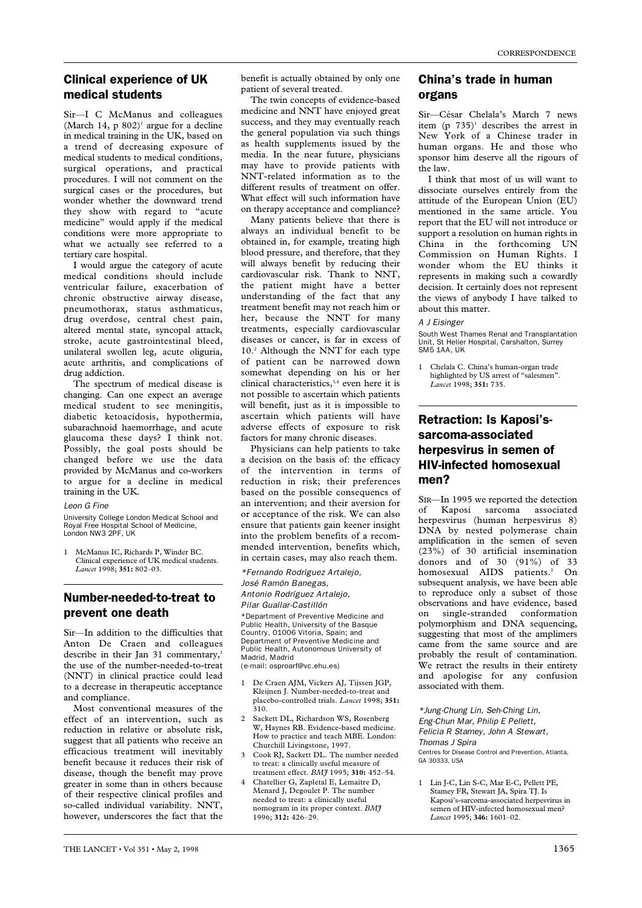# Clinical experience of UK medical students

Sir—I C McManus and colleagues (March 14, p  $802$ )<sup>1</sup> argue for a decline in medical training in the UK, based on a trend of decreasing exposure of medical students to medical conditions, surgical operations, and practical procedures. I will not comment on the surgical cases or the procedures, but wonder whether the downward trend they show with regard to "acute medicine" would apply if the medical conditions were more appropriate to what we actually see referred to a tertiary care hospital.

I would argue the category of acute medical conditions should include ventricular failure, exacerbation of chronic obstructive airway disease, pneumothorax, status asthmaticus, drug overdose, central chest pain, altered mental state, syncopal attack, stroke, acute gastrointestinal bleed, unilateral swollen leg, acute oliguria, acute arthritis, and complications of drug addiction.

The spectrum of medical disease is changing. Can one expect an average medical student to see meningitis, diabetic ketoacidosis, hypothermia, subarachnoid haemorrhage, and acute glaucoma these days? I think not. Possibly, the goal posts should be changed before we use the data provided by McManus and co-workers to argue for a decline in medical training in the UK.

#### Leon G Fine

University College London Medical School and Royal Free Hospital School of Medicine, London NW3 2PF, UK

1 McManus IC, Richards P, Winder BC. Clinical experience of UK medical students. *Lancet* 1998; **351:** 802–03.

## Number-needed-to-treat to prevent one death

Sir—In addition to the difficulties that Anton De Craen and colleagues describe in their Jan 31 commentary,<sup>1</sup> the use of the number-needed-to-treat (NNT) in clinical practice could lead to a decrease in therapeutic acceptance and compliance.

Most conventional measures of the effect of an intervention, such as reduction in relative or absolute risk, suggest that all patients who receive an efficacious treatment will inevitably benefit because it reduces their risk of disease, though the benefit may prove greater in some than in others because of their respective clinical profiles and so-called individual variability. NNT, however, underscores the fact that the

benefit is actually obtained by only one patient of several treated.

The twin concepts of evidence-based medicine and NNT have enjoyed great success, and they may eventually reach the general population via such things as health supplements issued by the media. In the near future, physicians may have to provide patients with NNT-related information as to the different results of treatment on offer. What effect will such information have on therapy acceptance and compliance?

Many patients believe that there is always an individual benefit to be obtained in, for example, treating high blood pressure, and therefore, that they will always benefit by reducing their cardiovascular risk. Thank to NNT, the patient might have a better understanding of the fact that any treatment benefit may not reach him or her, because the NNT for many treatments, especially cardiovascular diseases or cancer, is far in excess of 10.2 Although the NNT for each type of patient can be narrowed down somewhat depending on his or her clinical characteristics,<sup>3,4</sup> even here it is not possible to ascertain which patients will benefit, just as it is impossible to ascertain which patients will have adverse effects of exposure to risk factors for many chronic diseases.

Physicians can help patients to take a decision on the basis of: the efficacy of the intervention in terms of reduction in risk; their preferences based on the possible consequencs of an intervention; and their aversion for or acceptance of the risk. We can also ensure that patients gain keener insight into the problem benefits of a recommended intervention, benefits which, in certain cases, may also reach them.

\*Fernando Rodríguez Artalejo,

José Ramón Banegas, Antonio Rodríguez Artalejo,

Pilar Guallar-Castillón

\*Department of Preventive Medicine and Public Health, University of the Basque Country, 01006 Vitoria, Spain; and Department of Preventive Medicine and Public Health, Autonomous University of Madrid, Madrid (e-mail: osproarf@vc.ehu.es)

- 1 De Craen AJM, Vickers AJ, Tijssen JGP, Kleijnen J. Number-needed-to-treat and placebo-controlled trials. *Lancet* 1998; **351:** 310.
- 2 Sackett DL, Richardson WS, Rosenberg W, Haynes RB. Evidence-based medicine. How to practice and teach MBE. London: Churchill Livingstone, 1997.
- 3 Cook RJ, Sackett DL. The number needed to treat: a clinically useful measure of treatment effect. *BMJ* 1995; **310:** 452–54.
- 4 Chatellier G, Zapletal E, Lemaitre D, Menard J, Degoulet P. The number needed to treat: a clinically useful nomogram in its proper context. *BMJ* 1996; **312:** 426–29.

### China's trade in human organs

Sir—César Chelala's March 7 news item  $(p 735)^1$  describes the arrest in New York of a Chinese trader in human organs. He and those who sponsor him deserve all the rigours of the law.

I think that most of us will want to dissociate ourselves entirely from the attitude of the European Union (EU) mentioned in the same article. You report that the EU will not introduce or support a resolution on human rights in China in the forthcoming UN Commission on Human Rights. I wonder whom the EU thinks it represents in making such a cowardly decision. It certainly does not represent the views of anybody I have talked to about this matter.

A J Eisinger

South West Thames Renal and Transplantation Unit, St Helier Hospital, Carshalton, Surrey SM5 1AA, UK

# Retraction: Is Kaposi'ssarcoma-associated herpesvirus in semen of HIV-infected homosexual men?

SIR—In 1995 we reported the detection of Kaposi sarcoma associated herpesvirus (human herpesvirus 8) DNA by nested polymerase chain amplification in the semen of seven (23%) of 30 artificial insemination donors and of 30 (91%) of 33 homosexual AIDS patients.<sup>1</sup> On subsequent analysis, we have been able to reproduce only a subset of those observations and have evidence, based on single-stranded conformation polymorphism and DNA sequencing, suggesting that most of the amplimers came from the same source and are probably the result of contamination. We retract the results in their entirety and apologise for any confusion associated with them.

\*Jung-Chung Lin, Seh-Ching Lin, Eng-Chun Mar, Philip E Pellett, Felicia R Stamey, John A Stewart, Thomas J Spira Centres for Disease Control and Prevention, Atlanta, GA 30333, USA

1 Lin J-C, Lin S-C, Mar E-C, Pellett PE, Stamey FR, Stewart JA, Spira TJ. Is Kaposi's-sarcoma-associated herpesvirus in semen of HIV-infected homosexual men? *Lancet* 1995; **346:** 1601–02.

<sup>1</sup> Chelala C. China's human-organ trade highlighted by US arrest of "salesmen". *Lancet* 1998; **351:** 735.